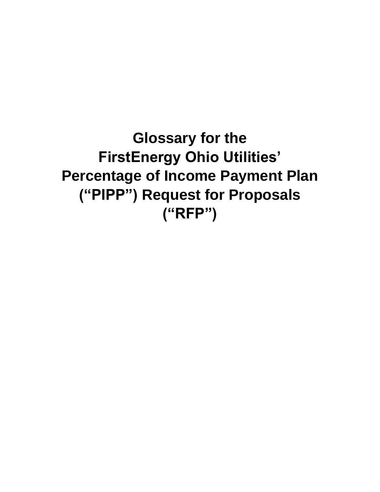**Glossary for the FirstEnergy Ohio Utilities' Percentage of Income Payment Plan ("PIPP") Request for Proposals ("RFP")**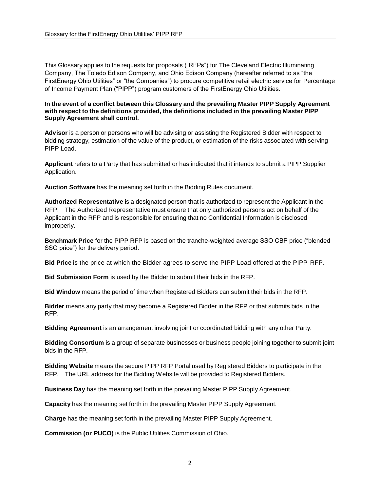This Glossary applies to the requests for proposals ("RFPs") for The Cleveland Electric Illuminating Company, The Toledo Edison Company, and Ohio Edison Company (hereafter referred to as "the FirstEnergy Ohio Utilities" or "the Companies") to procure competitive retail electric service for Percentage of Income Payment Plan ("PIPP") program customers of the FirstEnergy Ohio Utilities.

## **In the event of a conflict between this Glossary and the prevailing Master PIPP Supply Agreement with respect to the definitions provided, the definitions included in the prevailing Master PIPP Supply Agreement shall control.**

**Advisor** is a person or persons who will be advising or assisting the Registered Bidder with respect to bidding strategy, estimation of the value of the product, or estimation of the risks associated with serving PIPP Load.

**Applicant** refers to a Party that has submitted or has indicated that it intends to submit a PIPP Supplier Application.

**Auction Software** has the meaning set forth in the Bidding Rules document.

**Authorized Representative** is a designated person that is authorized to represent the Applicant in the RFP. The Authorized Representative must ensure that only authorized persons act on behalf of the Applicant in the RFP and is responsible for ensuring that no Confidential Information is disclosed improperly.

**Benchmark Price** for the PIPP RFP is based on the tranche-weighted average SSO CBP price ("blended SSO price") for the delivery period.

**Bid Price** is the price at which the Bidder agrees to serve the PIPP Load offered at the PIPP RFP.

**Bid Submission Form** is used by the Bidder to submit their bids in the RFP.

**Bid Window** means the period of time when Registered Bidders can submit their bids in the RFP.

**Bidder** means any party that may become a Registered Bidder in the RFP or that submits bids in the RFP.

**Bidding Agreement** is an arrangement involving joint or coordinated bidding with any other Party.

**Bidding Consortium** is a group of separate businesses or business people joining together to submit joint bids in the RFP.

**Bidding Website** means the secure PIPP RFP Portal used by Registered Bidders to participate in the RFP. The URL address for the Bidding Website will be provided to Registered Bidders.

**Business Day** has the meaning set forth in the prevailing Master PIPP Supply Agreement.

**Capacity** has the meaning set forth in the prevailing Master PIPP Supply Agreement.

**Charge** has the meaning set forth in the prevailing Master PIPP Supply Agreement.

**Commission (or PUCO)** is the Public Utilities Commission of Ohio.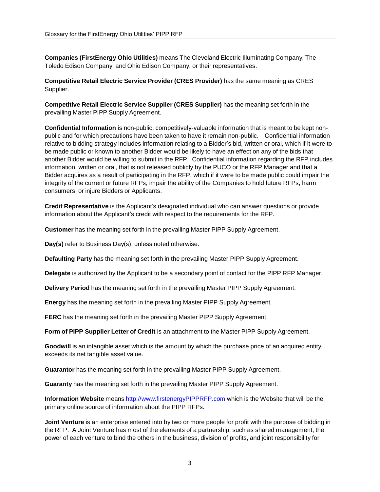**Companies (FirstEnergy Ohio Utilities)** means The Cleveland Electric Illuminating Company, The Toledo Edison Company, and Ohio Edison Company, or their representatives.

**Competitive Retail Electric Service Provider (CRES Provider)** has the same meaning as CRES Supplier.

**Competitive Retail Electric Service Supplier (CRES Supplier)** has the meaning set forth in the prevailing Master PIPP Supply Agreement.

**Confidential Information** is non-public, competitively-valuable information that is meant to be kept nonpublic and for which precautions have been taken to have it remain non-public. Confidential information relative to bidding strategy includes information relating to a Bidder's bid, written or oral, which if it were to be made public or known to another Bidder would be likely to have an effect on any of the bids that another Bidder would be willing to submit in the RFP. Confidential information regarding the RFP includes information, written or oral, that is not released publicly by the PUCO or the RFP Manager and that a Bidder acquires as a result of participating in the RFP, which if it were to be made public could impair the integrity of the current or future RFPs, impair the ability of the Companies to hold future RFPs, harm consumers, or injure Bidders or Applicants.

**Credit Representative** is the Applicant's designated individual who can answer questions or provide information about the Applicant's credit with respect to the requirements for the RFP.

**Customer** has the meaning set forth in the prevailing Master PIPP Supply Agreement.

**Day(s)** refer to Business Day(s), unless noted otherwise.

**Defaulting Party** has the meaning set forth in the prevailing Master PIPP Supply Agreement.

**Delegate** is authorized by the Applicant to be a secondary point of contact for the PIPP RFP Manager.

**Delivery Period** has the meaning set forth in the prevailing Master PIPP Supply Agreement.

**Energy** has the meaning set forth in the prevailing Master PIPP Supply Agreement.

**FERC** has the meaning set forth in the prevailing Master PIPP Supply Agreement.

**Form of PIPP Supplier Letter of Credit** is an attachment to the Master PIPP Supply Agreement.

**Goodwill** is an intangible asset which is the [amount](http://www.investorwords.com/205/amount.html) by which the [purchase](http://www.investorwords.com/3952/purchase.html) [price](http://www.investorwords.com/3952/purchase.html) of an acquired entity exceeds its net [tangible](http://www.investorwords.com/3264/net_tangible_assets.html) asset value.

**Guarantor** has the meaning set forth in the prevailing Master PIPP Supply Agreement.

**Guaranty** has the meaning set forth in the prevailing Master PIPP Supply Agreement.

**Information Website** means [http://www.firstenergyPIPPRFP.com](http://www.firstenergypipprfp.com/) which is the Website that will be the primary online source of information about the PIPP RFPs.

**Joint Venture** is an enterprise entered into by two or more people for profit with the purpose of bidding in the RFP. A Joint Venture has most of the elements of a partnership, such as shared management, the power of each venture to bind the others in the business, division of profits, and joint responsibility for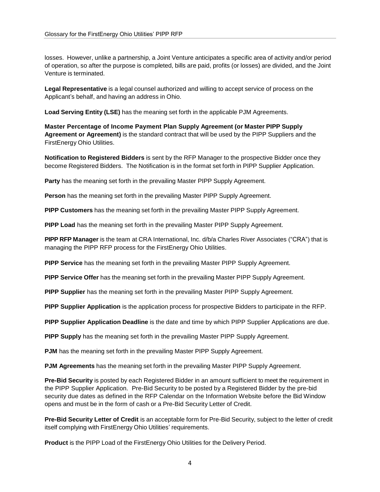losses. However, unlike a partnership, a Joint Venture anticipates a specific area of activity and/or period of operation, so after the purpose is completed, bills are paid, profits (or losses) are divided, and the Joint Venture is terminated.

**Legal Representative** is a legal counsel authorized and willing to accept service of process on the Applicant's behalf, and having an address in Ohio.

**Load Serving Entity (LSE)** has the meaning set forth in the applicable PJM Agreements.

**Master Percentage of Income Payment Plan Supply Agreement (or Master PIPP Supply Agreement or Agreement)** is the standard contract that will be used by the PIPP Suppliers and the FirstEnergy Ohio Utilities.

**Notification to Registered Bidders** is sent by the RFP Manager to the prospective Bidder once they become Registered Bidders. The Notification is in the format set forth in PIPP Supplier Application.

Party has the meaning set forth in the prevailing Master PIPP Supply Agreement.

**Person** has the meaning set forth in the prevailing Master PIPP Supply Agreement.

**PIPP Customers** has the meaning set forth in the prevailing Master PIPP Supply Agreement.

**PIPP Load** has the meaning set forth in the prevailing Master PIPP Supply Agreement.

**PIPP RFP Manager** is the team at CRA International, Inc. d/b/a Charles River Associates ("CRA") that is managing the PIPP RFP process for the FirstEnergy Ohio Utilities.

**PIPP Service** has the meaning set forth in the prevailing Master PIPP Supply Agreement.

**PIPP Service Offer** has the meaning set forth in the prevailing Master PIPP Supply Agreement.

**PIPP Supplier** has the meaning set forth in the prevailing Master PIPP Supply Agreement.

**PIPP Supplier Application** is the application process for prospective Bidders to participate in the RFP.

**PIPP Supplier Application Deadline** is the date and time by which PIPP Supplier Applications are due.

**PIPP Supply** has the meaning set forth in the prevailing Master PIPP Supply Agreement.

**PJM** has the meaning set forth in the prevailing Master PIPP Supply Agreement.

**PJM Agreements** has the meaning set forth in the prevailing Master PIPP Supply Agreement.

**Pre-Bid Security** is posted by each Registered Bidder in an amount sufficient to meet the requirement in the PIPP Supplier Application. Pre-Bid Security to be posted by a Registered Bidder by the pre-bid security due dates as defined in the RFP Calendar on the Information Website before the Bid Window opens and must be in the form of cash or a Pre-Bid Security Letter of Credit.

**Pre-Bid Security Letter of Credit** is an acceptable form for Pre-Bid Security, subject to the letter of credit itself complying with FirstEnergy Ohio Utilities' requirements.

**Product** is the PIPP Load of the FirstEnergy Ohio Utilities for the Delivery Period.